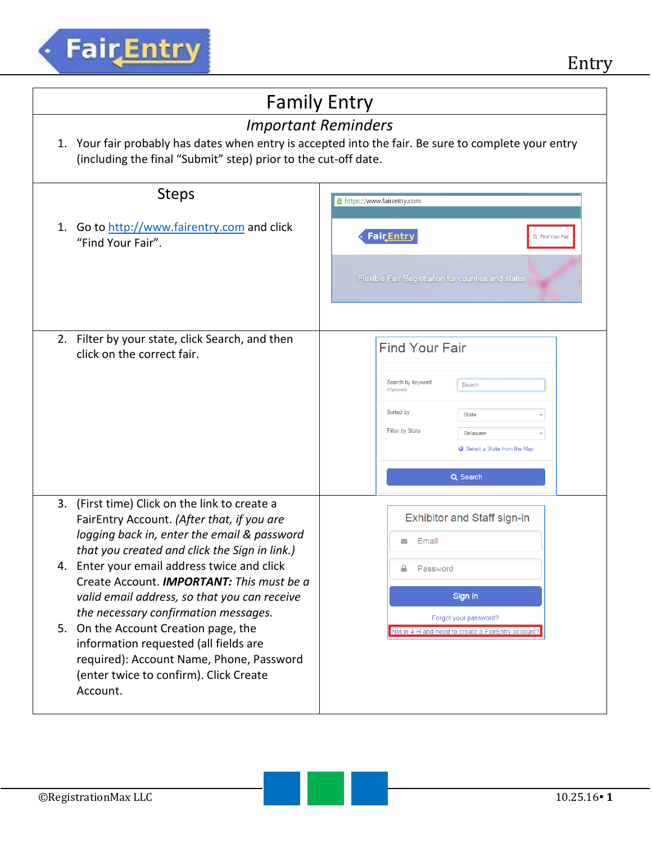

| <b>Family Entry</b>                                                                                                                                                                                                                                                                                                                                                                                                                                                                                                                                                       |                                                                                                                                                                                                        |  |
|---------------------------------------------------------------------------------------------------------------------------------------------------------------------------------------------------------------------------------------------------------------------------------------------------------------------------------------------------------------------------------------------------------------------------------------------------------------------------------------------------------------------------------------------------------------------------|--------------------------------------------------------------------------------------------------------------------------------------------------------------------------------------------------------|--|
| <b>Important Reminders</b><br>Your fair probably has dates when entry is accepted into the fair. Be sure to complete your entry<br>1.<br>(including the final "Submit" step) prior to the cut-off date.                                                                                                                                                                                                                                                                                                                                                                   |                                                                                                                                                                                                        |  |
| <b>Steps</b>                                                                                                                                                                                                                                                                                                                                                                                                                                                                                                                                                              | https://www.fairentry.com                                                                                                                                                                              |  |
| Go to http://www.fairentry.com and click<br>1.<br>"Find Your Fair".                                                                                                                                                                                                                                                                                                                                                                                                                                                                                                       | <b>Fair</b> Entry<br>Q Find Your Fair<br><b>Flexible Fair Registration for counties and states</b>                                                                                                     |  |
| 2. Filter by your state, click Search, and then<br>click on the correct fair.                                                                                                                                                                                                                                                                                                                                                                                                                                                                                             | <b>Find Your Fair</b><br>Search by keyword<br>Search<br>(Optional)<br>Sorted by<br><b>State</b><br>Filter by State<br><b>Delaware</b><br>$\pmb{\mathrm{v}}$<br>Select a State from the Map<br>Q Search |  |
| 3. (First time) Click on the link to create a<br>FairEntry Account. (After that, if you are<br>logging back in, enter the email & password<br>that you created and click the Sign in link.)<br>4. Enter your email address twice and click<br>Create Account. <b>IMPORTANT:</b> This must be a<br>valid email address, so that you can receive<br>the necessary confirmation messages.<br>5. On the Account Creation page, the<br>information requested (all fields are<br>required): Account Name, Phone, Password<br>(enter twice to confirm). Click Create<br>Account. | Exhibitor and Staff sign-in<br>Email<br>M<br>Password<br>Sign in<br>Forgot your password?<br>Not in 4-H and need to create a FairEntry account?                                                        |  |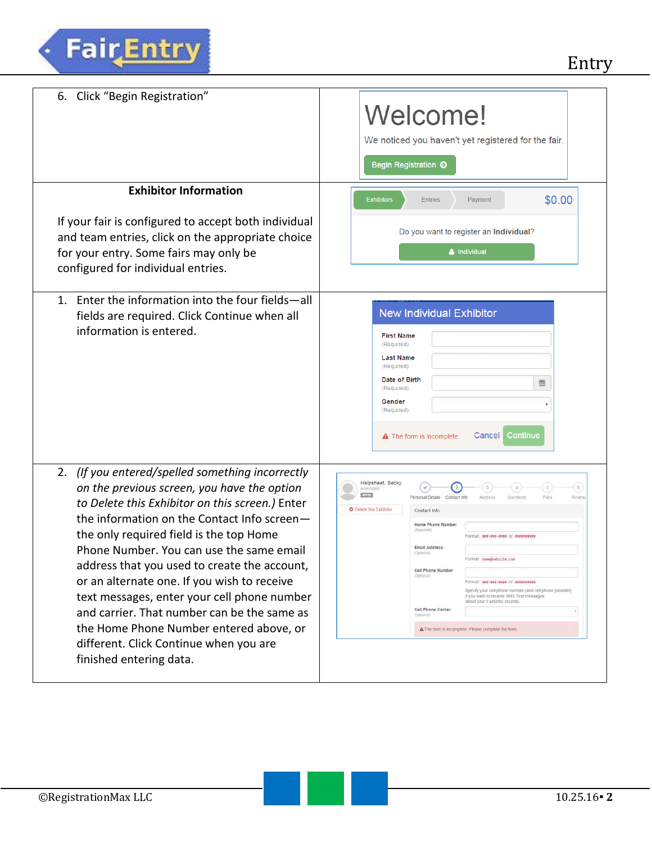| Click "Begin Registration"<br>6.                                                                                                                                                                                                                                                                                                                                                                                                                                                                                                                                                                         | Welcome!<br>We noticed you haven't yet registered for the fair.<br>Begin Registration O                                                                                                                                                                                                                                                                                                                                                                                                                                                                                                                                                         |
|----------------------------------------------------------------------------------------------------------------------------------------------------------------------------------------------------------------------------------------------------------------------------------------------------------------------------------------------------------------------------------------------------------------------------------------------------------------------------------------------------------------------------------------------------------------------------------------------------------|-------------------------------------------------------------------------------------------------------------------------------------------------------------------------------------------------------------------------------------------------------------------------------------------------------------------------------------------------------------------------------------------------------------------------------------------------------------------------------------------------------------------------------------------------------------------------------------------------------------------------------------------------|
| <b>Exhibitor Information</b><br>If your fair is configured to accept both individual<br>and team entries, click on the appropriate choice<br>for your entry. Some fairs may only be<br>configured for individual entries.                                                                                                                                                                                                                                                                                                                                                                                | \$0.00<br><b>Exhibitors</b><br><b>Entries</b><br>Payment<br>Do you want to register an Individual?<br>& Individual                                                                                                                                                                                                                                                                                                                                                                                                                                                                                                                              |
| Enter the information into the four fields-all<br>$1_{-}$<br>fields are required. Click Continue when all<br>information is entered.                                                                                                                                                                                                                                                                                                                                                                                                                                                                     | <b>New Individual Exhibitor</b><br><b>First Name</b><br>(Required)<br><b>Last Name</b><br>(Required)<br>Date of Birth<br>▦<br>(Required)<br>Gender<br>(Required)<br>Continue<br>Cancel<br>$\triangle$ The form is incomplete                                                                                                                                                                                                                                                                                                                                                                                                                    |
| (If you entered/spelled something incorrectly<br>2.<br>on the previous screen, you have the option<br>to Delete this Exhibitor on this screen.) Enter<br>the information on the Contact Info screen-<br>the only required field is the top Home<br>Phone Number. You can use the same email<br>address that you used to create the account,<br>or an alternate one. If you wish to receive<br>text messages, enter your cell phone number<br>and carrier. That number can be the same as<br>the Home Phone Number entered above, or<br>different. Click Continue when you are<br>finished entering data. | Helpsheet, Becky<br>$\sqrt{5}$<br>C.G.<br>8/05/2000<br>22146<br>Personal Details<br>Contact Infi<br>Files<br>Address<br>Question<br>Revie<br><b>O</b> Delete this Exhibitor<br>Contact Info<br>Home Phone Number<br>(Required)<br>Format wee-ene-ene or enveryweer<br><b>Email Address</b><br>(Optional)<br>Format name@website.com<br>Cell Phone Number<br>(Optional)<br>Formal wee-was-wass of sessessess<br>Specify your cell phone number (and cell phone provider)<br>if you want to receive SMS Text messages<br>about your FairEntry records.<br>Cell Phone Carrier<br>(Optional)<br>A The form is incomplete. Please complete the form. |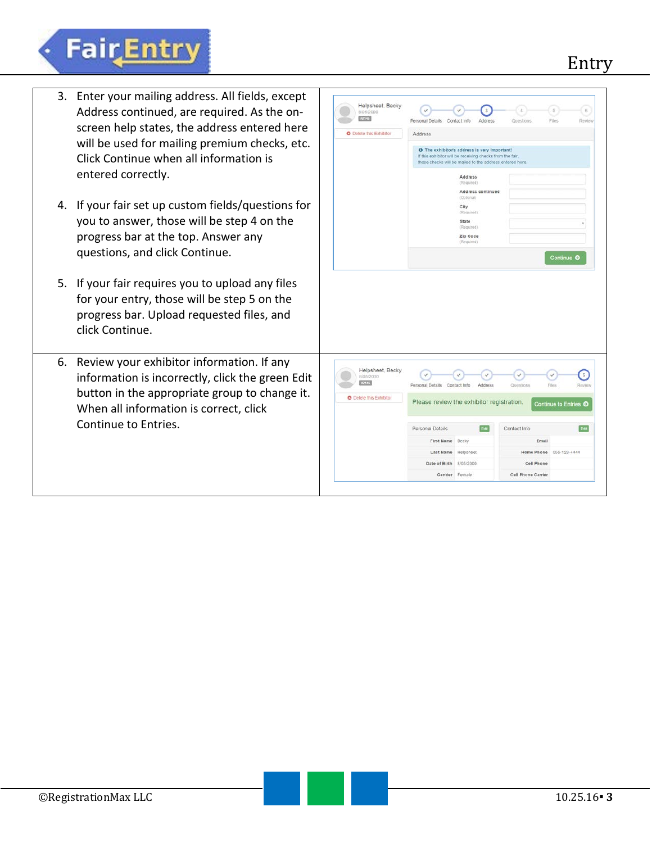## Entry



**FairEntry**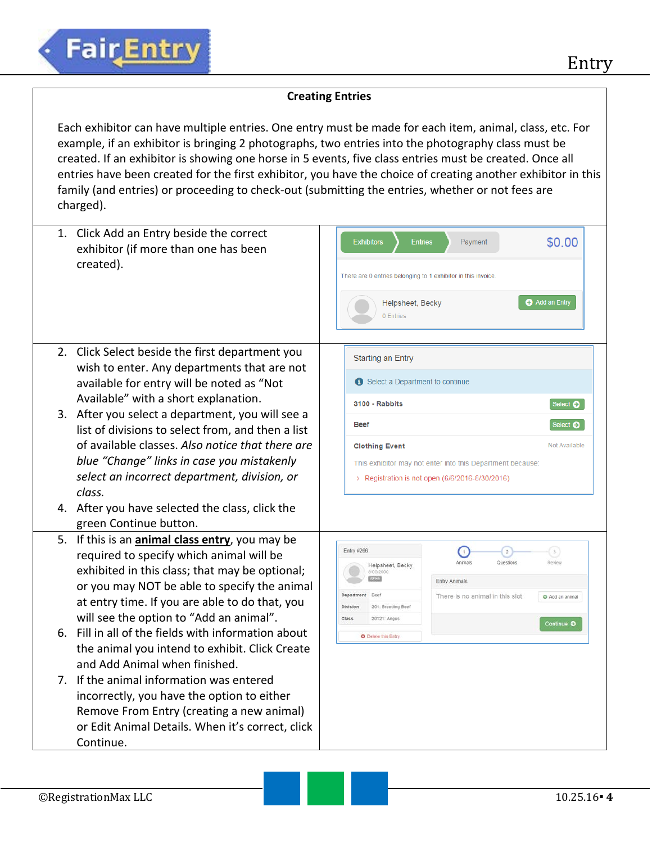## **Creating Entries**

Each exhibitor can have multiple entries. One entry must be made for each item, animal, class, etc. For example, if an exhibitor is bringing 2 photographs, two entries into the photography class must be created. If an exhibitor is showing one horse in 5 events, five class entries must be created. Once all entries have been created for the first exhibitor, you have the choice of creating another exhibitor in this family (and entries) or proceeding to check-out (submitting the entries, whether or not fees are charged).

|             | 1. Click Add an Entry beside the correct<br>exhibitor (if more than one has been<br>created).                                                                                                                                                                                                                                                                                                                                                                                                                                                                                                                                                     | <b>Exhibitors</b><br>\$0.00<br><b>Entries</b><br>Payment<br>There are 0 entries belonging to 1 exhibitor in this invoice<br>Add an Entry<br>Helpsheet, Becky<br>0 Entries                                                                                                                                                                 |
|-------------|---------------------------------------------------------------------------------------------------------------------------------------------------------------------------------------------------------------------------------------------------------------------------------------------------------------------------------------------------------------------------------------------------------------------------------------------------------------------------------------------------------------------------------------------------------------------------------------------------------------------------------------------------|-------------------------------------------------------------------------------------------------------------------------------------------------------------------------------------------------------------------------------------------------------------------------------------------------------------------------------------------|
|             | 2. Click Select beside the first department you<br>wish to enter. Any departments that are not<br>available for entry will be noted as "Not<br>Available" with a short explanation.                                                                                                                                                                                                                                                                                                                                                                                                                                                               | <b>Starting an Entry</b><br>Select a Department to continue<br>3100 - Rabbits<br>Select $\bullet$                                                                                                                                                                                                                                         |
|             | 3. After you select a department, you will see a                                                                                                                                                                                                                                                                                                                                                                                                                                                                                                                                                                                                  | <b>Beef</b><br>Select $\bullet$                                                                                                                                                                                                                                                                                                           |
|             | list of divisions to select from, and then a list<br>of available classes. Also notice that there are<br>blue "Change" links in case you mistakenly<br>select an incorrect department, division, or<br>class.<br>4. After you have selected the class, click the                                                                                                                                                                                                                                                                                                                                                                                  | Not Available<br><b>Clothing Event</b><br>This exhibitor may not enter into this Department because:<br>> Registration is not open (6/6/2016-8/30/2016)                                                                                                                                                                                   |
|             | green Continue button.                                                                                                                                                                                                                                                                                                                                                                                                                                                                                                                                                                                                                            |                                                                                                                                                                                                                                                                                                                                           |
| $7_{\circ}$ | 5. If this is an <i>animal class entry</i> , you may be<br>required to specify which animal will be<br>exhibited in this class; that may be optional;<br>or you may NOT be able to specify the animal<br>at entry time. If you are able to do that, you<br>will see the option to "Add an animal".<br>6. Fill in all of the fields with information about<br>the animal you intend to exhibit. Click Create<br>and Add Animal when finished.<br>If the animal information was entered<br>incorrectly, you have the option to either<br>Remove From Entry (creating a new animal)<br>or Edit Animal Details. When it's correct, click<br>Continue. | Entry #266<br>$\begin{pmatrix} 3 \end{pmatrix}$<br>$\bar{2}$<br>$\mathbf{1}$<br>Animals<br>Questions<br>Review<br>Helpsheet, Becky<br>8/05/2000<br>Entry Animals<br>Department Beet<br>There is no animal in this slot<br>O Add an animal<br>Division<br>201: Breeding Beef<br>Class<br>20121: Angus<br>Continue O<br>O Delete this Entry |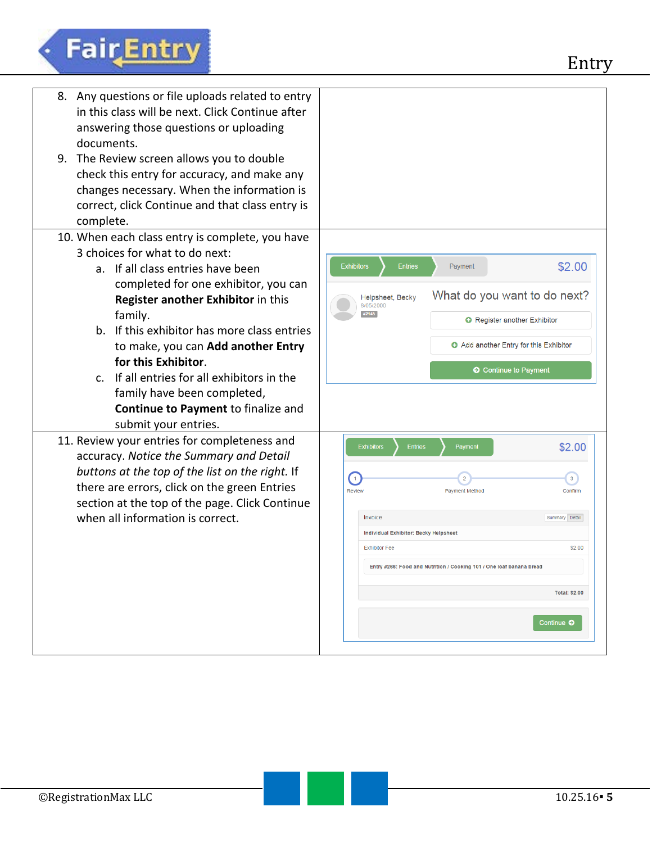## Fair Entry

| <b>Exhibitors</b><br>\$2.00<br><b>Entries</b><br>Payment<br>What do you want to do next?<br>Helpsheet, Becky<br>8/05/2000<br>#2145<br>Register another Exhibitor<br>Add another Entry for this Exhibitor<br>C Continue to Payment                                                                                                                                                     |
|---------------------------------------------------------------------------------------------------------------------------------------------------------------------------------------------------------------------------------------------------------------------------------------------------------------------------------------------------------------------------------------|
| \$2.00<br><b>Exhibitors</b><br><b>Entries</b><br>Payment<br>$\left( 1\right)$<br>3 <sup>2</sup><br>$\overline{2}$<br><b>Review</b><br>Payment Method<br>Confirm<br>Invoice<br>Summary Detail<br>Individual Exhibitor: Becky Helpsheet<br><b>Exhibitor Fee</b><br>\$2.00<br>Entry #266: Food and Nutrition / Cooking 101 / One loaf banana bread<br><b>Total: \$2.00</b><br>Continue O |
|                                                                                                                                                                                                                                                                                                                                                                                       |